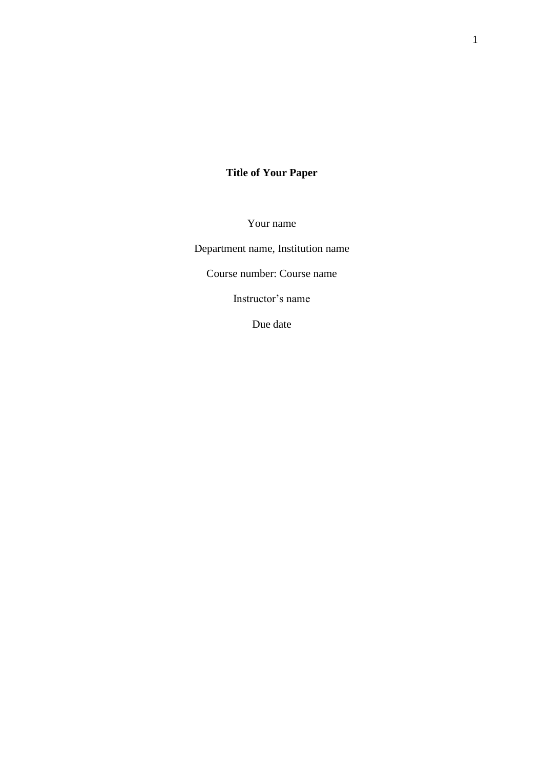# **Title of Your Paper**

Your name

Department name, Institution name

Course number: Course name

Instructor's name

Due date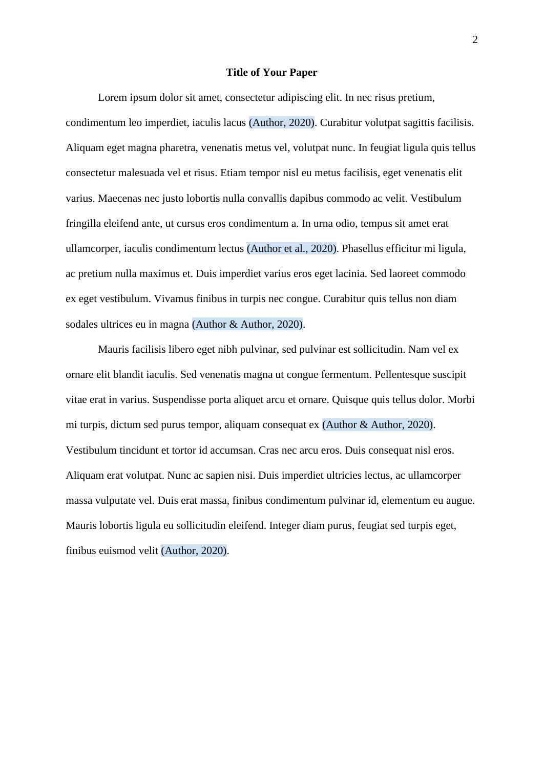#### **Title of Your Paper**

Lorem ipsum dolor sit amet, consectetur adipiscing elit. In nec risus pretium, condimentum leo imperdiet, iaculis lacus (Author, 2020). Curabitur volutpat sagittis facilisis. Aliquam eget magna pharetra, venenatis metus vel, volutpat nunc. In feugiat ligula quis tellus consectetur malesuada vel et risus. Etiam tempor nisl eu metus facilisis, eget venenatis elit varius. Maecenas nec justo lobortis nulla convallis dapibus commodo ac velit. Vestibulum fringilla eleifend ante, ut cursus eros condimentum a. In urna odio, tempus sit amet erat ullamcorper, iaculis condimentum lectus (Author et al., 2020). Phasellus efficitur mi ligula, ac pretium nulla maximus et. Duis imperdiet varius eros eget lacinia. Sed laoreet commodo ex eget vestibulum. Vivamus finibus in turpis nec congue. Curabitur quis tellus non diam sodales ultrices eu in magna (Author & Author, 2020).

Mauris facilisis libero eget nibh pulvinar, sed pulvinar est sollicitudin. Nam vel ex ornare elit blandit iaculis. Sed venenatis magna ut congue fermentum. Pellentesque suscipit vitae erat in varius. Suspendisse porta aliquet arcu et ornare. Quisque quis tellus dolor. Morbi mi turpis, dictum sed purus tempor, aliquam consequat ex (Author & Author, 2020). Vestibulum tincidunt et tortor id accumsan. Cras nec arcu eros. Duis consequat nisl eros. Aliquam erat volutpat. Nunc ac sapien nisi. Duis imperdiet ultricies lectus, ac ullamcorper massa vulputate vel. Duis erat massa, finibus condimentum pulvinar id, elementum eu augue. Mauris lobortis ligula eu sollicitudin eleifend. Integer diam purus, feugiat sed turpis eget, finibus euismod velit (Author, 2020).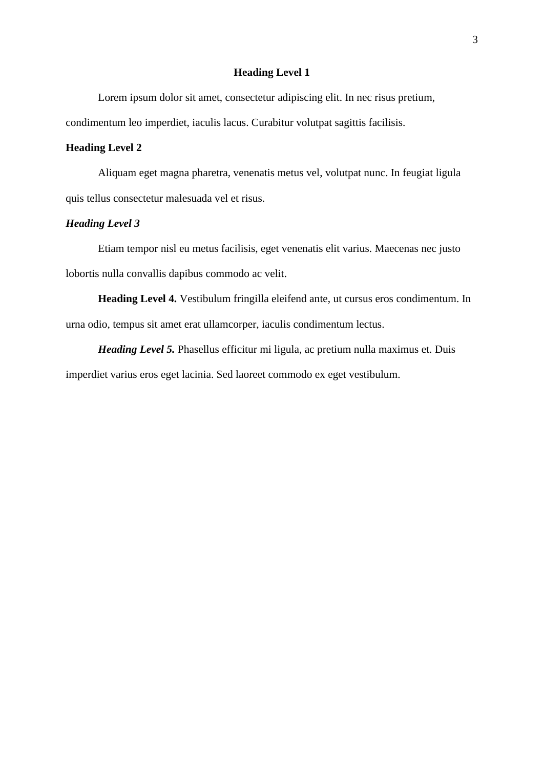## **Heading Level 1**

Lorem ipsum dolor sit amet, consectetur adipiscing elit. In nec risus pretium,

condimentum leo imperdiet, iaculis lacus. Curabitur volutpat sagittis facilisis.

# **Heading Level 2**

Aliquam eget magna pharetra, venenatis metus vel, volutpat nunc. In feugiat ligula quis tellus consectetur malesuada vel et risus.

# *Heading Level 3*

Etiam tempor nisl eu metus facilisis, eget venenatis elit varius. Maecenas nec justo lobortis nulla convallis dapibus commodo ac velit.

**Heading Level 4.** Vestibulum fringilla eleifend ante, ut cursus eros condimentum. In urna odio, tempus sit amet erat ullamcorper, iaculis condimentum lectus.

*Heading Level 5.* Phasellus efficitur mi ligula, ac pretium nulla maximus et. Duis imperdiet varius eros eget lacinia. Sed laoreet commodo ex eget vestibulum.